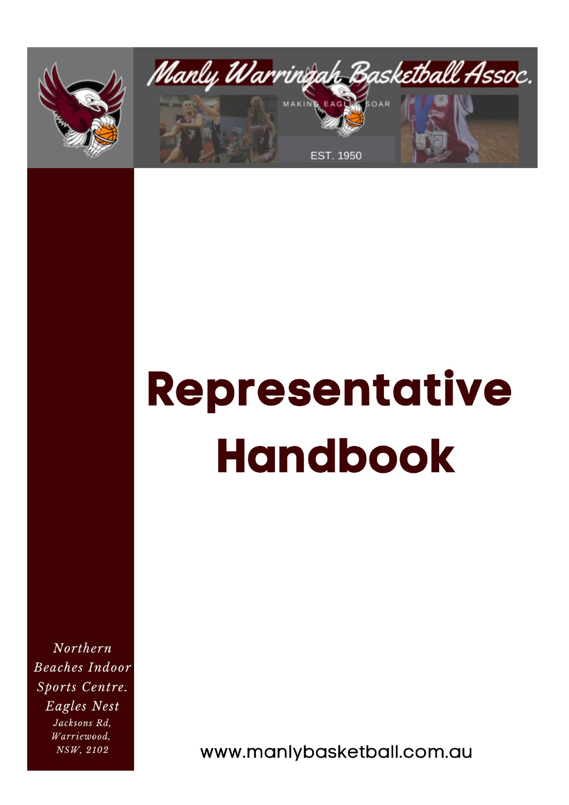



# **Representative Handbook**

Northern **Beaches Indoor** Sports Centre. Eagles Nest Jacksons Rd, Warriewood, NSW, 2102

www.manlybasketball.com.au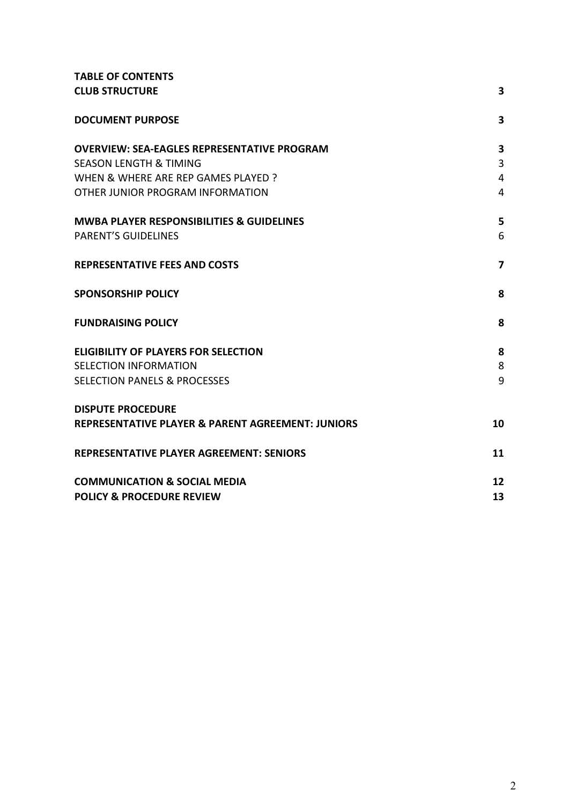| <b>TABLE OF CONTENTS</b>                                     |                |
|--------------------------------------------------------------|----------------|
| <b>CLUB STRUCTURE</b>                                        | 3              |
| <b>DOCUMENT PURPOSE</b>                                      | 3              |
| <b>OVERVIEW: SEA-EAGLES REPRESENTATIVE PROGRAM</b>           | 3              |
| <b>SEASON LENGTH &amp; TIMING</b>                            | 3              |
| WHEN & WHERE ARE REP GAMES PLAYED ?                          | $\overline{4}$ |
| OTHER JUNIOR PROGRAM INFORMATION                             | 4              |
| MWBA PLAYER RESPONSIBILITIES & GUIDELINES                    | 5              |
| <b>PARENT'S GUIDELINES</b>                                   | 6              |
| <b>REPRESENTATIVE FEES AND COSTS</b>                         | 7              |
| <b>SPONSORSHIP POLICY</b>                                    | 8              |
| <b>FUNDRAISING POLICY</b>                                    | 8              |
| <b>ELIGIBILITY OF PLAYERS FOR SELECTION</b>                  | 8              |
| SELECTION INFORMATION                                        | 8              |
| <b>SELECTION PANELS &amp; PROCESSES</b>                      | 9              |
| <b>DISPUTE PROCEDURE</b>                                     |                |
| <b>REPRESENTATIVE PLAYER &amp; PARENT AGREEMENT: JUNIORS</b> | 10             |
| <b>REPRESENTATIVE PLAYER AGREEMENT: SENIORS</b>              | 11             |
| <b>COMMUNICATION &amp; SOCIAL MEDIA</b>                      | 12             |
| <b>POLICY &amp; PROCEDURE REVIEW</b>                         | 13             |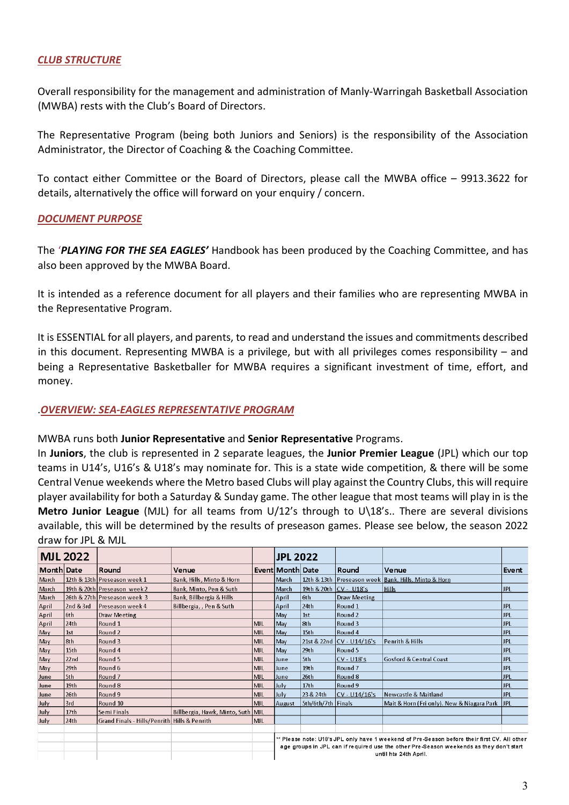#### *CLUB STRUCTURE*

Overall responsibility for the management and administration of Manly-Warringah Basketball Association (MWBA) rests with the Club's Board of Directors.

The Representative Program (being both Juniors and Seniors) is the responsibility of the Association Administrator, the Director of Coaching & the Coaching Committee.

<span id="page-2-0"></span>To contact either Committee or the Board of Directors, please call the MWBA office – 9913.3622 for details, alternatively the office will forward on your enquiry / concern.

#### *DOCUMENT PURPOSE*

The '*PLAYING FOR THE SEA EAGLES'* Handbook has been produced by the Coaching Committee, and has also been approved by the MWBA Board.

It is intended as a reference document for all players and their families who are representing MWBA in the Representative Program.

It is ESSENTIAL for all players, and parents, to read and understand the issues and commitments described in this document. Representing MWBA is a privilege, but with all privileges comes responsibility – and being a Representative Basketballer for MWBA requires a significant investment of time, effort, and money.

#### .*OVERVIEW: SEA-EAGLES REPRESENTATIVE PROGRAM*

#### MWBA runs both **Junior Representative** and **Senior Representative** Programs.

In **Juniors**, the club is represented in 2 separate leagues, the **Junior Premier League** (JPL) which our top teams in U14's, U16's & U18's may nominate for. This is a state wide competition, & there will be some Central Venue weekends where the Metro based Clubs will play against the Country Clubs, this will require player availability for both a Saturday & Sunday game. The other league that most teams will play in is the **Metro Junior League** (MJL) for all teams from U/12's through to U\18's.. There are several divisions available, this will be determined by the results of preseason games. Please see below, the season 2022 draw for JPL & MJL

|            | <b>MJL 2022</b>  |                                              |                                   |            | <b>JPL 2022</b>                                                                                                                                                                                                  |                    |                           |                                                      |            |
|------------|------------------|----------------------------------------------|-----------------------------------|------------|------------------------------------------------------------------------------------------------------------------------------------------------------------------------------------------------------------------|--------------------|---------------------------|------------------------------------------------------|------------|
| Month Date |                  | Round                                        | Venue                             |            | Event Month Date                                                                                                                                                                                                 |                    | Round                     | Venue                                                | Event      |
| March      |                  | 12th & 13th Preseason week 1                 | Bank, Hills, Minto & Horn         |            | March                                                                                                                                                                                                            |                    |                           | 12th & 13th Preseason week Bank, Hills, Minto & Horn |            |
| March      |                  | 19th & 20th Preseason week 2                 | Bank, Minto, Pen & Suth           |            | March                                                                                                                                                                                                            |                    | 19th & 20th CV - U18's    | <b>Hills</b>                                         | <b>JPL</b> |
| March      |                  | 26th & 27th Preseason week 3                 | Bank, Billbergia & Hills          |            | April                                                                                                                                                                                                            | 6th                | Draw Meeting              |                                                      |            |
| April      | 2nd & 3rd        | Preseason week 4                             | Billbergia,, Pen & Suth           |            | April                                                                                                                                                                                                            | 24th               | Round 1                   |                                                      | <b>JPL</b> |
| April      | l6th.            | Draw Meeting                                 |                                   |            | May                                                                                                                                                                                                              | 1st                | Round <sub>2</sub>        |                                                      | <b>JPL</b> |
| April      | 24 <sub>th</sub> | Round <sub>1</sub>                           |                                   | <b>MJL</b> | May                                                                                                                                                                                                              | 8th                | Round 3                   |                                                      | <b>JPL</b> |
| May        | 1st              | Round <sub>2</sub>                           |                                   | MIL        | May                                                                                                                                                                                                              | 15 <sub>th</sub>   | Round 4                   |                                                      | <b>JPL</b> |
| May        | 8th              | Round 3                                      |                                   | <b>MJL</b> | May                                                                                                                                                                                                              |                    | 21st & 22nd CV - U14/16's | <b>Penrith &amp; Hills</b>                           | <b>JPL</b> |
| May        | 15th             | Round 4                                      |                                   | MJL        | May                                                                                                                                                                                                              | 29 <sub>th</sub>   | Round 5                   |                                                      | <b>JPL</b> |
| May        | 22 <sub>nd</sub> | Round 5                                      |                                   | MJL        | June                                                                                                                                                                                                             | 5th                | $CV - U18$ 's             | <b>Gosford &amp; Central Coast</b>                   | <b>JPL</b> |
| May        | 29 <sub>th</sub> | Round 6                                      |                                   | <b>MJL</b> | lune                                                                                                                                                                                                             | 19 <sub>th</sub>   | Round <sub>7</sub>        |                                                      | JPL        |
| June       | 5th              | Round 7                                      |                                   | l MJ L     | June                                                                                                                                                                                                             | 26th               | Round 8                   |                                                      | <b>JPL</b> |
| June       | 19th             | Round 8                                      |                                   | MJL        | July                                                                                                                                                                                                             | 17 <sub>th</sub>   | Round 9                   |                                                      | <b>JPL</b> |
| June       | 26 <sub>th</sub> | Round 9                                      |                                   | MJL.       | July                                                                                                                                                                                                             | 23 & 24th          | $CV - U14/16's$           | Newcastle & Maitland                                 | <b>JPL</b> |
| July       | 3rd              | Round 10                                     |                                   | MJL        | August                                                                                                                                                                                                           | 5th/6th/7th Finals |                           | Mait & Horn (Fri only). New & Niagara Park   JPL     |            |
| July       | 17 <sub>th</sub> | Semi Finals                                  | Billbergia, Hawk, Minto, Suth MJL |            |                                                                                                                                                                                                                  |                    |                           |                                                      |            |
| July       | 24th             | Grand Finals - Hills/Penrith Hills & Penrith |                                   | <b>MJL</b> |                                                                                                                                                                                                                  |                    |                           |                                                      |            |
|            |                  |                                              |                                   |            |                                                                                                                                                                                                                  |                    |                           |                                                      |            |
|            |                  |                                              |                                   |            | ** Please note: U18's JPL only have 1 weekend of Pre-Season before their first CV. All other<br>age groups in JPL can if required use the other Pre-Season weekends as they don't start<br>until hte 24th April. |                    |                           |                                                      |            |
|            |                  |                                              |                                   |            |                                                                                                                                                                                                                  |                    |                           |                                                      |            |
|            |                  |                                              |                                   |            |                                                                                                                                                                                                                  |                    |                           |                                                      |            |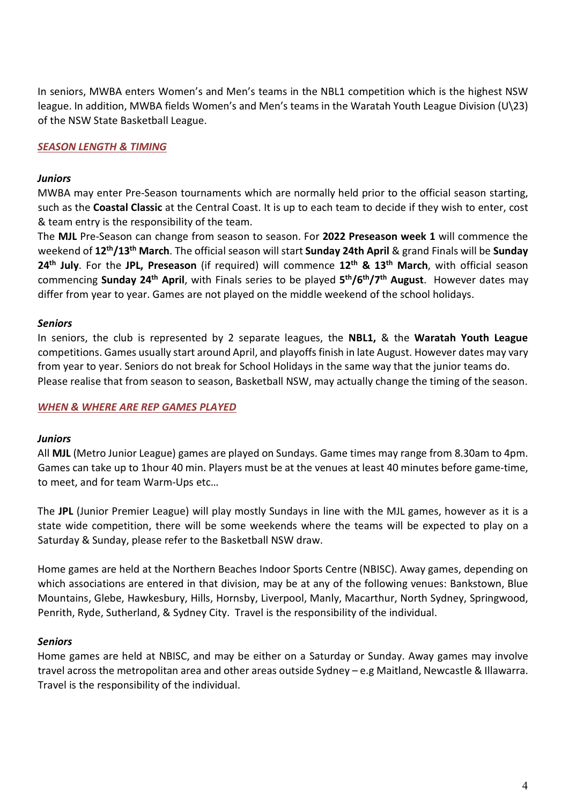In seniors, MWBA enters Women's and Men's teams in the NBL1 competition which is the highest NSW league. In addition, MWBA fields Women's and Men's teams in the Waratah Youth League Division (U\23) of the NSW State Basketball League.

# *SEASON LENGTH & TIMING*

#### *Juniors*

MWBA may enter Pre-Season tournaments which are normally held prior to the official season starting, such as the **Coastal Classic** at the Central Coast. It is up to each team to decide if they wish to enter, cost & team entry is the responsibility of the team.

The **MJL** Pre-Season can change from season to season. For **2022 Preseason week 1** will commence the weekend of **12th/13th March**. The official season will start **Sunday 24th April** & grand Finals will be **Sunday 24th July**. For the **JPL, Preseason** (if required) will commence **12th & 13th March**, with official season commencing **Sunday 24th April**, with Finals series to be played **5th/6th/7th August**. However dates may differ from year to year. Games are not played on the middle weekend of the school holidays.

#### *Seniors*

In seniors, the club is represented by 2 separate leagues, the **NBL1,** & the **Waratah Youth League**  competitions. Games usually start around April, and playoffs finish in late August. However dates may vary from year to year. Seniors do not break for School Holidays in the same way that the junior teams do. Please realise that from season to season, Basketball NSW, may actually change the timing of the season.

#### <span id="page-3-0"></span>*WHEN & WHERE ARE REP GAMES PLAYED*

#### *Juniors*

All **MJL** (Metro Junior League) games are played on Sundays. Game times may range from 8.30am to 4pm. Games can take up to 1hour 40 min. Players must be at the venues at least 40 minutes before game-time, to meet, and for team Warm-Ups etc…

The **JPL** (Junior Premier League) will play mostly Sundays in line with the MJL games, however as it is a state wide competition, there will be some weekends where the teams will be expected to play on a Saturday & Sunday, please refer to the Basketball NSW draw.

Home games are held at the Northern Beaches Indoor Sports Centre (NBISC). Away games, depending on which associations are entered in that division, may be at any of the following venues: Bankstown, Blue Mountains, Glebe, Hawkesbury, Hills, Hornsby, Liverpool, Manly, Macarthur, North Sydney, Springwood, Penrith, Ryde, Sutherland, & Sydney City. Travel is the responsibility of the individual.

#### *Seniors*

Home games are held at NBISC, and may be either on a Saturday or Sunday. Away games may involve travel across the metropolitan area and other areas outside Sydney – e.g Maitland, Newcastle & Illawarra. Travel is the responsibility of the individual.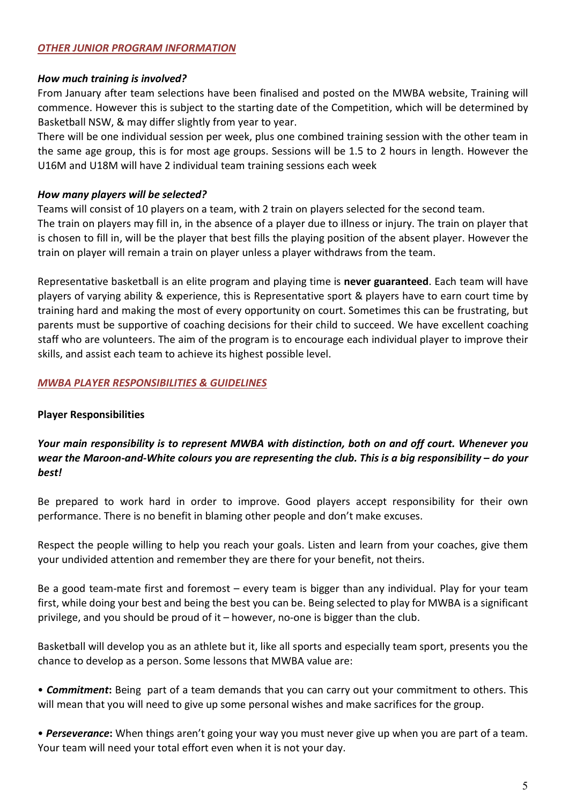## *OTHER JUNIOR PROGRAM INFORMATION*

#### *How much training is involved?*

From January after team selections have been finalised and posted on the MWBA website, Training will commence. However this is subject to the starting date of the Competition, which will be determined by Basketball NSW, & may differ slightly from year to year.

There will be one individual session per week, plus one combined training session with the other team in the same age group, this is for most age groups. Sessions will be 1.5 to 2 hours in length. However the U16M and U18M will have 2 individual team training sessions each week

#### *How many players will be selected?*

Teams will consist of 10 players on a team, with 2 train on players selected for the second team. The train on players may fill in, in the absence of a player due to illness or injury. The train on player that is chosen to fill in, will be the player that best fills the playing position of the absent player. However the train on player will remain a train on player unless a player withdraws from the team.

Representative basketball is an elite program and playing time is **never guaranteed**. Each team will have players of varying ability & experience, this is Representative sport & players have to earn court time by training hard and making the most of every opportunity on court. Sometimes this can be frustrating, but parents must be supportive of coaching decisions for their child to succeed. We have excellent coaching staff who are volunteers. The aim of the program is to encourage each individual player to improve their skills, and assist each team to achieve its highest possible level.

## *MWBA PLAYER RESPONSIBILITIES & GUIDELINES*

#### **Player Responsibilities**

# *Your main responsibility is to represent MWBA with distinction, both on and off court. Whenever you wear the Maroon-and-White colours you are representing the club. This is a big responsibility – do your best!*

Be prepared to work hard in order to improve. Good players accept responsibility for their own performance. There is no benefit in blaming other people and don't make excuses.

Respect the people willing to help you reach your goals. Listen and learn from your coaches, give them your undivided attention and remember they are there for your benefit, not theirs.

Be a good team-mate first and foremost – every team is bigger than any individual. Play for your team first, while doing your best and being the best you can be. Being selected to play for MWBA is a significant privilege, and you should be proud of it – however, no-one is bigger than the club.

Basketball will develop you as an athlete but it, like all sports and especially team sport, presents you the chance to develop as a person. Some lessons that MWBA value are:

• *Commitment***:** Being part of a team demands that you can carry out your commitment to others. This will mean that you will need to give up some personal wishes and make sacrifices for the group.

• *Perseverance***:** When things aren't going your way you must never give up when you are part of a team. Your team will need your total effort even when it is not your day.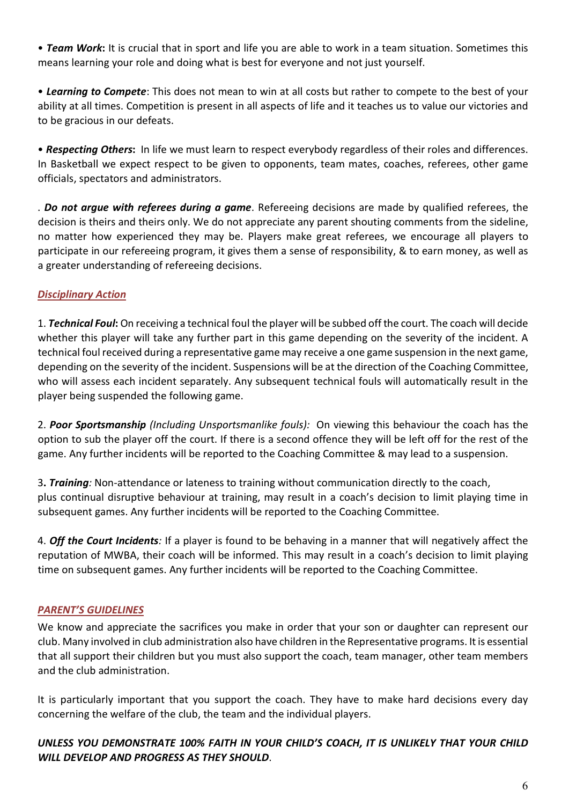• *Team Work***:** It is crucial that in sport and life you are able to work in a team situation. Sometimes this means learning your role and doing what is best for everyone and not just yourself.

• *Learning to Compete*: This does not mean to win at all costs but rather to compete to the best of your ability at all times. Competition is present in all aspects of life and it teaches us to value our victories and to be gracious in our defeats.

• *Respecting Others***:** In life we must learn to respect everybody regardless of their roles and differences. In Basketball we expect respect to be given to opponents, team mates, coaches, referees, other game officials, spectators and administrators.

. *Do not argue with referees during a game*. Refereeing decisions are made by qualified referees, the decision is theirs and theirs only. We do not appreciate any parent shouting comments from the sideline, no matter how experienced they may be. Players make great referees, we encourage all players to participate in our refereeing program, it gives them a sense of responsibility, & to earn money, as well as a greater understanding of refereeing decisions.

# *Disciplinary Action*

1. *Technical Foul***:** On receiving a technical foul the player will be subbed off the court. The coach will decide whether this player will take any further part in this game depending on the severity of the incident. A technical foul received during a representative game may receive a one game suspension in the next game, depending on the severity of the incident. Suspensions will be at the direction of the Coaching Committee, who will assess each incident separately. Any subsequent technical fouls will automatically result in the player being suspended the following game.

2. *Poor Sportsmanship (Including Unsportsmanlike fouls):* On viewing this behaviour the coach has the option to sub the player off the court. If there is a second offence they will be left off for the rest of the game. Any further incidents will be reported to the Coaching Committee & may lead to a suspension.

3**.** *Training:* Non-attendance or lateness to training without communication directly to the coach, plus continual disruptive behaviour at training, may result in a coach's decision to limit playing time in subsequent games. Any further incidents will be reported to the Coaching Committee.

<span id="page-5-0"></span>4. *Off the Court Incidents:* If a player is found to be behaving in a manner that will negatively affect the reputation of MWBA, their coach will be informed. This may result in a coach's decision to limit playing time on subsequent games. Any further incidents will be reported to the Coaching Committee.

# *PARENT'S GUIDELINES*

We know and appreciate the sacrifices you make in order that your son or daughter can represent our club. Many involved in club administration also have children in the Representative programs. It is essential that all support their children but you must also support the coach, team manager, other team members and the club administration.

It is particularly important that you support the coach. They have to make hard decisions every day concerning the welfare of the club, the team and the individual players.

# *UNLESS YOU DEMONSTRATE 100% FAITH IN YOUR CHILD'S COACH, IT IS UNLIKELY THAT YOUR CHILD WILL DEVELOP AND PROGRESS AS THEY SHOULD*.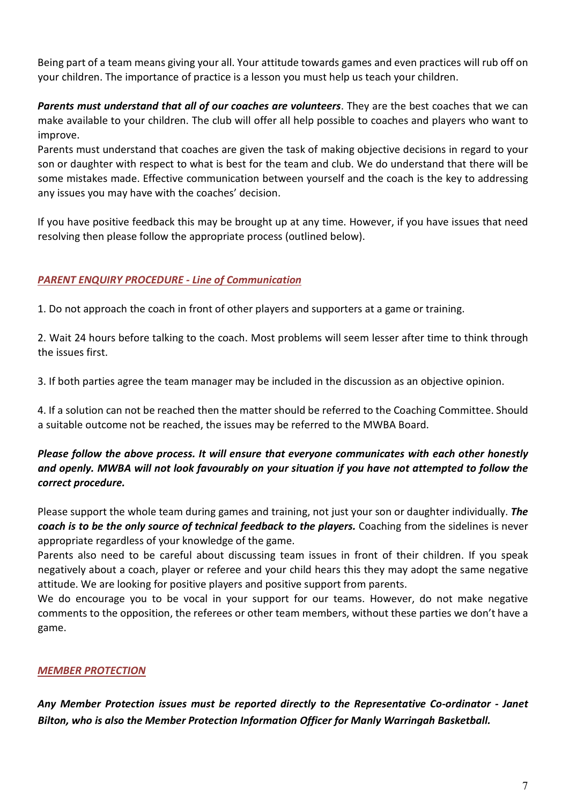Being part of a team means giving your all. Your attitude towards games and even practices will rub off on your children. The importance of practice is a lesson you must help us teach your children.

*Parents must understand that all of our coaches are volunteers*. They are the best coaches that we can make available to your children. The club will offer all help possible to coaches and players who want to improve.

Parents must understand that coaches are given the task of making objective decisions in regard to your son or daughter with respect to what is best for the team and club. We do understand that there will be some mistakes made. Effective communication between yourself and the coach is the key to addressing any issues you may have with the coaches' decision.

If you have positive feedback this may be brought up at any time. However, if you have issues that need resolving then please follow the appropriate process (outlined below).

# *PARENT ENQUIRY PROCEDURE - Line of Communication*

1. Do not approach the coach in front of other players and supporters at a game or training.

2. Wait 24 hours before talking to the coach. Most problems will seem lesser after time to think through the issues first.

3. If both parties agree the team manager may be included in the discussion as an objective opinion.

4. If a solution can not be reached then the matter should be referred to the Coaching Committee. Should a suitable outcome not be reached, the issues may be referred to the MWBA Board.

# *Please follow the above process. It will ensure that everyone communicates with each other honestly and openly. MWBA will not look favourably on your situation if you have not attempted to follow the correct procedure.*

Please support the whole team during games and training, not just your son or daughter individually. *The coach is to be the only source of technical feedback to the players.* Coaching from the sidelines is never appropriate regardless of your knowledge of the game.

Parents also need to be careful about discussing team issues in front of their children. If you speak negatively about a coach, player or referee and your child hears this they may adopt the same negative attitude. We are looking for positive players and positive support from parents.

We do encourage you to be vocal in your support for our teams. However, do not make negative comments to the opposition, the referees or other team members, without these parties we don't have a game.

# *MEMBER PROTECTION*

<span id="page-6-0"></span>*Any Member Protection issues must be reported directly to the Representative Co-ordinator - Janet Bilton, who is also the Member Protection Information Officer for Manly Warringah Basketball.*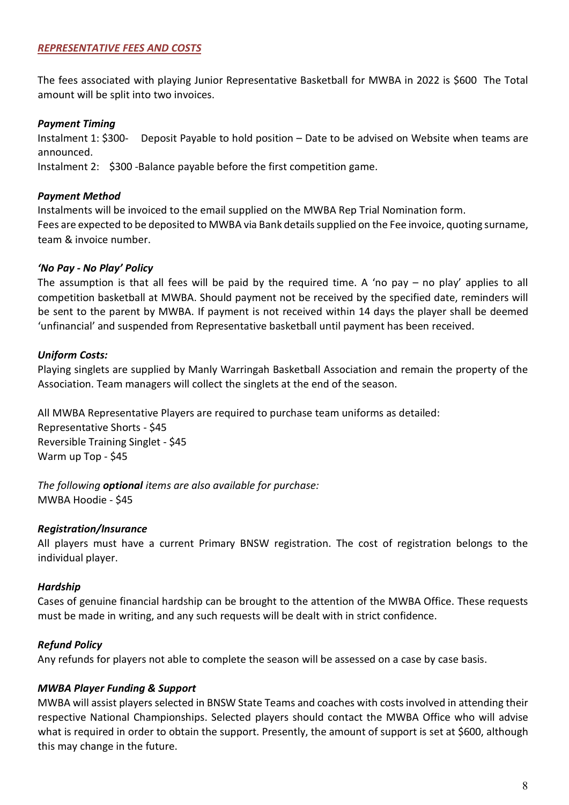## *REPRESENTATIVE FEES AND COSTS*

The fees associated with playing Junior Representative Basketball for MWBA in 2022 is \$600 The Total amount will be split into two invoices.

## *Payment Timing*

Instalment 1: \$300- Deposit Payable to hold position – Date to be advised on Website when teams are announced.

Instalment 2: \$300 -Balance payable before the first competition game.

## *Payment Method*

Instalments will be invoiced to the email supplied on the MWBA Rep Trial Nomination form. Fees are expected to be deposited to MWBA via Bank details supplied on the Fee invoice, quoting surname, team & invoice number.

## *'No Pay - No Play' Policy*

The assumption is that all fees will be paid by the required time. A 'no pay – no play' applies to all competition basketball at MWBA. Should payment not be received by the specified date, reminders will be sent to the parent by MWBA. If payment is not received within 14 days the player shall be deemed 'unfinancial' and suspended from Representative basketball until payment has been received.

## *Uniform Costs:*

Playing singlets are supplied by Manly Warringah Basketball Association and remain the property of the Association. Team managers will collect the singlets at the end of the season.

All MWBA Representative Players are required to purchase team uniforms as detailed:

Representative Shorts - \$45 Reversible Training Singlet - \$45 Warm up Top - \$45

*The following optional items are also available for purchase:* MWBA Hoodie - \$45

# *Registration/Insurance*

All players must have a current Primary BNSW registration. The cost of registration belongs to the individual player.

# *Hardship*

Cases of genuine financial hardship can be brought to the attention of the MWBA Office. These requests must be made in writing, and any such requests will be dealt with in strict confidence.

# *Refund Policy*

Any refunds for players not able to complete the season will be assessed on a case by case basis.

# *MWBA Player Funding & Support*

MWBA will assist players selected in BNSW State Teams and coaches with costs involved in attending their respective National Championships. Selected players should contact the MWBA Office who will advise what is required in order to obtain the support. Presently, the amount of support is set at \$600, although this may change in the future.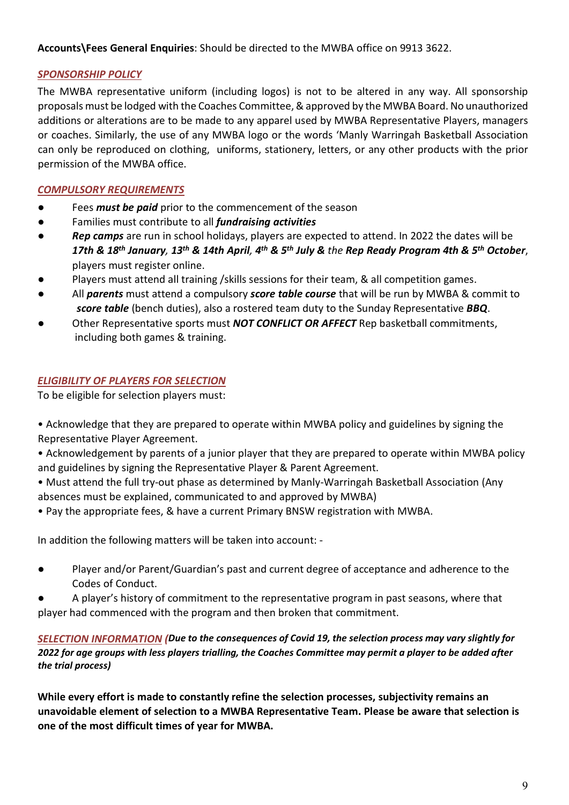<span id="page-8-0"></span>**Accounts\Fees General Enquiries**: Should be directed to the MWBA office on 9913 3622.

# *SPONSORSHIP POLICY*

The MWBA representative uniform (including logos) is not to be altered in any way. All sponsorship proposals must be lodged with the Coaches Committee, & approved by the MWBA Board. No unauthorized additions or alterations are to be made to any apparel used by MWBA Representative Players, managers or coaches. Similarly, the use of any MWBA logo or the words 'Manly Warringah Basketball Association can only be reproduced on clothing, uniforms, stationery, letters, or any other products with the prior permission of the MWBA office.

# <span id="page-8-1"></span>*COMPULSORY REQUIREMENTS*

- Fees *must be paid* prior to the commencement of the season
- Families must contribute to all *fundraising activities*
- *Rep camps* are run in school holidays, players are expected to attend. In 2022 the dates will be *17th & 18th January, 13th & 14th April, 4th & 5th July & the Rep Ready Program 4th & 5th October*, players must register online.
- Players must attend all training /skills sessions for their team, & all competition games.
- All *parents* must attend a compulsory *score table course* that will be run by MWBA & commit to *score table* (bench duties), also a rostered team duty to the Sunday Representative *BBQ*.
- Other Representative sports must **NOT CONFLICT OR AFFECT** Rep basketball commitments, including both games & training.

# *ELIGIBILITY OF PLAYERS FOR SELECTION*

To be eligible for selection players must:

- Acknowledge that they are prepared to operate within MWBA policy and guidelines by signing the Representative Player Agreement.
- Acknowledgement by parents of a junior player that they are prepared to operate within MWBA policy and guidelines by signing the Representative Player & Parent Agreement.
- Must attend the full try-out phase as determined by Manly-Warringah Basketball Association (Any absences must be explained, communicated to and approved by MWBA)
- Pay the appropriate fees, & have a current Primary BNSW registration with MWBA.

In addition the following matters will be taken into account: -

- Player and/or Parent/Guardian's past and current degree of acceptance and adherence to the Codes of Conduct.
- <span id="page-8-2"></span>A player's history of commitment to the representative program in past seasons, where that player had commenced with the program and then broken that commitment.

*SELECTION INFORMATION (Due to the consequences of Covid 19, the selection process may vary slightly for 2022 for age groups with less players trialling, the Coaches Committee may permit a player to be added after the trial process)*

**While every effort is made to constantly refine the selection processes, subjectivity remains an unavoidable element of selection to a MWBA Representative Team. Please be aware that selection is one of the most difficult times of year for MWBA.**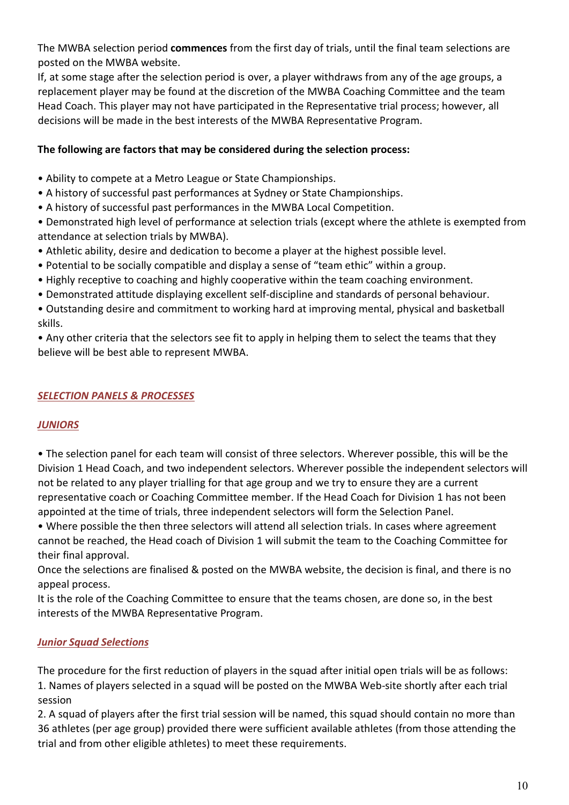The MWBA selection period **commences** from the first day of trials, until the final team selections are posted on the MWBA website.

If, at some stage after the selection period is over, a player withdraws from any of the age groups, a replacement player may be found at the discretion of the MWBA Coaching Committee and the team Head Coach. This player may not have participated in the Representative trial process; however, all decisions will be made in the best interests of the MWBA Representative Program.

# **The following are factors that may be considered during the selection process:**

- Ability to compete at a Metro League or State Championships.
- A history of successful past performances at Sydney or State Championships.
- A history of successful past performances in the MWBA Local Competition.

• Demonstrated high level of performance at selection trials (except where the athlete is exempted from attendance at selection trials by MWBA).

- Athletic ability, desire and dedication to become a player at the highest possible level.
- Potential to be socially compatible and display a sense of "team ethic" within a group.
- Highly receptive to coaching and highly cooperative within the team coaching environment.
- Demonstrated attitude displaying excellent self-discipline and standards of personal behaviour.
- Outstanding desire and commitment to working hard at improving mental, physical and basketball skills.

<span id="page-9-0"></span>• Any other criteria that the selectors see fit to apply in helping them to select the teams that they believe will be best able to represent MWBA.

# *SELECTION PANELS & PROCESSES*

# *JUNIORS*

• The selection panel for each team will consist of three selectors. Wherever possible, this will be the Division 1 Head Coach, and two independent selectors. Wherever possible the independent selectors will not be related to any player trialling for that age group and we try to ensure they are a current representative coach or Coaching Committee member. If the Head Coach for Division 1 has not been appointed at the time of trials, three independent selectors will form the Selection Panel.

• Where possible the then three selectors will attend all selection trials. In cases where agreement cannot be reached, the Head coach of Division 1 will submit the team to the Coaching Committee for their final approval.

Once the selections are finalised & posted on the MWBA website, the decision is final, and there is no appeal process.

It is the role of the Coaching Committee to ensure that the teams chosen, are done so, in the best interests of the MWBA Representative Program.

# *Junior Squad Selections*

The procedure for the first reduction of players in the squad after initial open trials will be as follows: 1. Names of players selected in a squad will be posted on the MWBA Web-site shortly after each trial session

2. A squad of players after the first trial session will be named, this squad should contain no more than 36 athletes (per age group) provided there were sufficient available athletes (from those attending the trial and from other eligible athletes) to meet these requirements.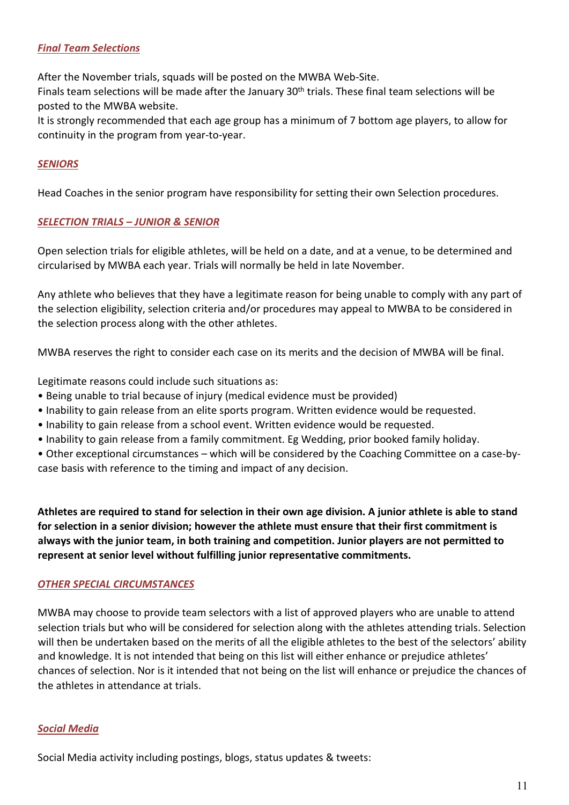# *Final Team Selections*

After the November trials, squads will be posted on the MWBA Web-Site.

Finals team selections will be made after the January 30<sup>th</sup> trials. These final team selections will be posted to the MWBA website.

It is strongly recommended that each age group has a minimum of 7 bottom age players, to allow for continuity in the program from year-to-year.

# *SENIORS*

Head Coaches in the senior program have responsibility for setting their own Selection procedures.

#### *SELECTION TRIALS – JUNIOR & SENIOR*

Open selection trials for eligible athletes, will be held on a date, and at a venue, to be determined and circularised by MWBA each year. Trials will normally be held in late November.

Any athlete who believes that they have a legitimate reason for being unable to comply with any part of the selection eligibility, selection criteria and/or procedures may appeal to MWBA to be considered in the selection process along with the other athletes.

MWBA reserves the right to consider each case on its merits and the decision of MWBA will be final.

Legitimate reasons could include such situations as:

- Being unable to trial because of injury (medical evidence must be provided)
- Inability to gain release from an elite sports program. Written evidence would be requested.
- Inability to gain release from a school event. Written evidence would be requested.
- Inability to gain release from a family commitment. Eg Wedding, prior booked family holiday.
- Other exceptional circumstances which will be considered by the Coaching Committee on a case-bycase basis with reference to the timing and impact of any decision.

**Athletes are required to stand for selection in their own age division. A junior athlete is able to stand for selection in a senior division; however the athlete must ensure that their first commitment is always with the junior team, in both training and competition. Junior players are not permitted to represent at senior level without fulfilling junior representative commitments.**

#### *OTHER SPECIAL CIRCUMSTANCES*

MWBA may choose to provide team selectors with a list of approved players who are unable to attend selection trials but who will be considered for selection along with the athletes attending trials. Selection will then be undertaken based on the merits of all the eligible athletes to the best of the selectors' ability and knowledge. It is not intended that being on this list will either enhance or prejudice athletes' chances of selection. Nor is it intended that not being on the list will enhance or prejudice the chances of the athletes in attendance at trials.

#### *Social Media*

Social Media activity including postings, blogs, status updates & tweets: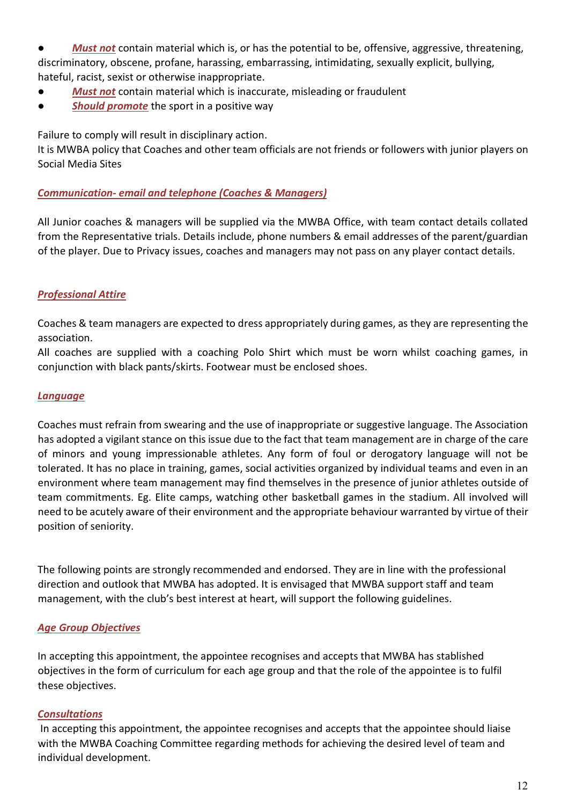● *Must not* contain material which is, or has the potential to be, offensive, aggressive, threatening, discriminatory, obscene, profane, harassing, embarrassing, intimidating, sexually explicit, bullying, hateful, racist, sexist or otherwise inappropriate.

- *Must not* contain material which is inaccurate, misleading or fraudulent
- **Should promote** the sport in a positive way

Failure to comply will result in disciplinary action.

It is MWBA policy that Coaches and other team officials are not friends or followers with junior players on Social Media Sites

# *Communication- email and telephone (Coaches & Managers)*

All Junior coaches & managers will be supplied via the MWBA Office, with team contact details collated from the Representative trials. Details include, phone numbers & email addresses of the parent/guardian of the player. Due to Privacy issues, coaches and managers may not pass on any player contact details.

# *Professional Attire*

Coaches & team managers are expected to dress appropriately during games, as they are representing the association.

All coaches are supplied with a coaching Polo Shirt which must be worn whilst coaching games, in conjunction with black pants/skirts. Footwear must be enclosed shoes.

#### *Language*

Coaches must refrain from swearing and the use of inappropriate or suggestive language. The Association has adopted a vigilant stance on this issue due to the fact that team management are in charge of the care of minors and young impressionable athletes. Any form of foul or derogatory language will not be tolerated. It has no place in training, games, social activities organized by individual teams and even in an environment where team management may find themselves in the presence of junior athletes outside of team commitments. Eg. Elite camps, watching other basketball games in the stadium. All involved will need to be acutely aware of their environment and the appropriate behaviour warranted by virtue of their position of seniority.

The following points are strongly recommended and endorsed. They are in line with the professional direction and outlook that MWBA has adopted. It is envisaged that MWBA support staff and team management, with the club's best interest at heart, will support the following guidelines.

# *Age Group Objectives*

In accepting this appointment, the appointee recognises and accepts that MWBA has stablished objectives in the form of curriculum for each age group and that the role of the appointee is to fulfil these objectives.

# *Consultations*

<span id="page-11-0"></span>In accepting this appointment, the appointee recognises and accepts that the appointee should liaise with the MWBA Coaching Committee regarding methods for achieving the desired level of team and individual development.